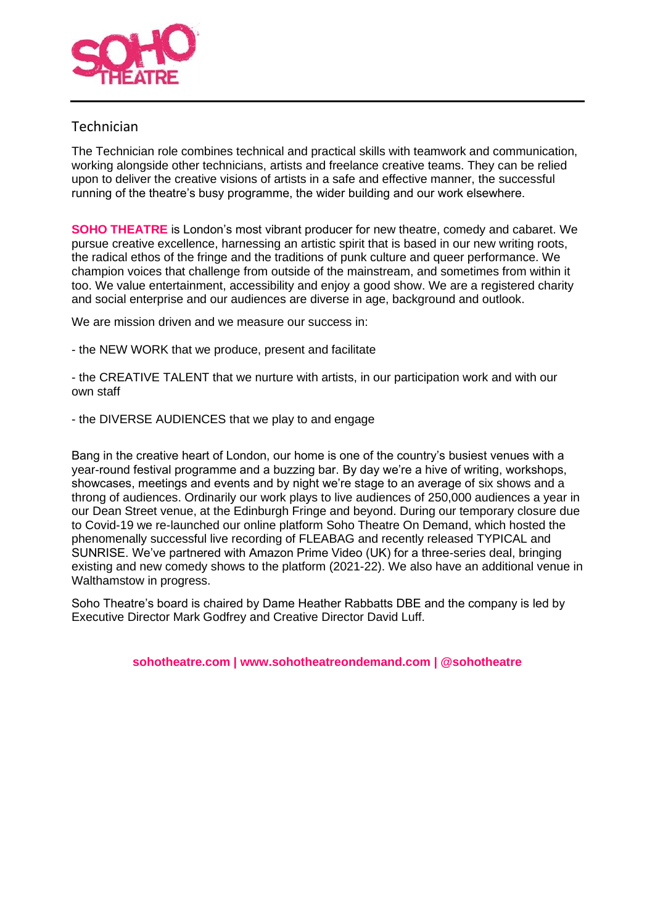

# Technician

The Technician role combines technical and practical skills with teamwork and communication, working alongside other technicians, artists and freelance creative teams. They can be relied upon to deliver the creative visions of artists in a safe and effective manner, the successful running of the theatre's busy programme, the wider building and our work elsewhere.

**SOHO THEATRE** is London's most vibrant producer for new theatre, comedy and cabaret. We pursue creative excellence, harnessing an artistic spirit that is based in our new writing roots, the radical ethos of the fringe and the traditions of punk culture and queer performance. We champion voices that challenge from outside of the mainstream, and sometimes from within it too. We value entertainment, accessibility and enjoy a good show. We are a registered charity and social enterprise and our audiences are diverse in age, background and outlook.

We are mission driven and we measure our success in:

- the NEW WORK that we produce, present and facilitate

- the CREATIVE TALENT that we nurture with artists, in our participation work and with our own staff

- the DIVERSE AUDIENCES that we play to and engage

Bang in the creative heart of London, our home is one of the country's busiest venues with a year-round festival programme and a buzzing bar. By day we're a hive of writing, workshops, showcases, meetings and events and by night we're stage to an average of six shows and a throng of audiences. Ordinarily our work plays to live audiences of 250,000 audiences a year in our Dean Street venue, at the Edinburgh Fringe and beyond. During our temporary closure due to Covid-19 we re-launched our online platform Soho Theatre On Demand, which hosted the phenomenally successful live recording of FLEABAG and recently released TYPICAL and SUNRISE. We've partnered with Amazon Prime Video (UK) for a three-series deal, bringing existing and new comedy shows to the platform (2021-22). We also have an additional venue in Walthamstow in progress.

Soho Theatre's board is chaired by Dame Heather Rabbatts DBE and the company is led by Executive Director Mark Godfrey and Creative Director David Luff.

**sohotheatre.com | [www.sohotheatreondemand.com](http://www.sohotheatreondemand.com/) | @sohotheatre**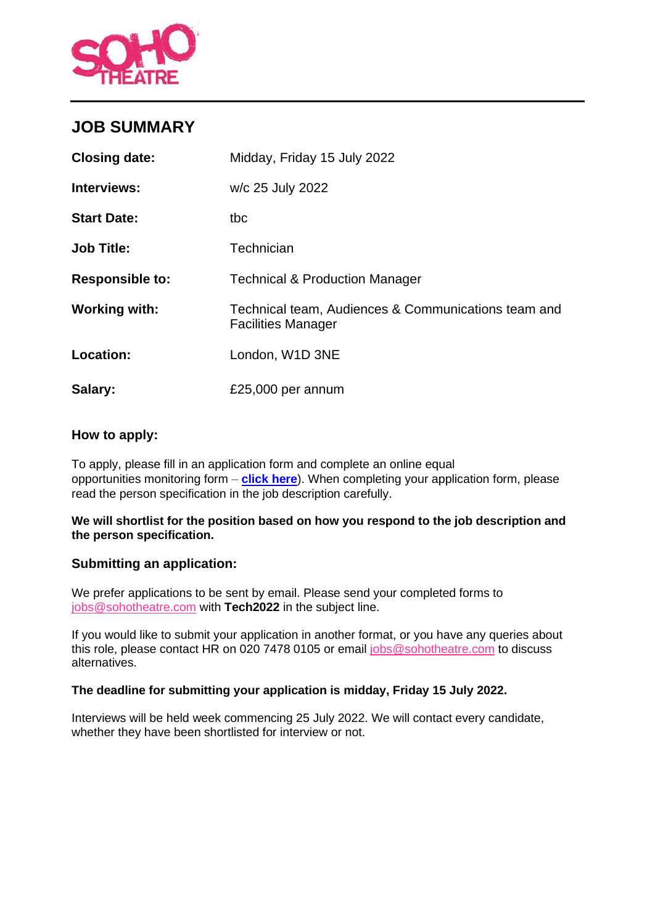

# **JOB SUMMARY**

| <b>Closing date:</b>   | Midday, Friday 15 July 2022                                                      |
|------------------------|----------------------------------------------------------------------------------|
| Interviews:            | w/c 25 July 2022                                                                 |
| <b>Start Date:</b>     | tbc                                                                              |
| <b>Job Title:</b>      | Technician                                                                       |
| <b>Responsible to:</b> | <b>Technical &amp; Production Manager</b>                                        |
| <b>Working with:</b>   | Technical team, Audiences & Communications team and<br><b>Facilities Manager</b> |
| Location:              | London, W1D 3NE                                                                  |
| Salary:                | £25,000 per annum                                                                |

# **How to apply:**

To apply, please fill in an application form and complete an online equal opportunities monitoring form – **[click here](https://sohotheatre.typeform.com/to/jsIXYDrR)**). When completing your application form, please read the person specification in the job description carefully.

#### **We will shortlist for the position based on how you respond to the job description and the person specification.**

## **Submitting an application:**

We prefer applications to be sent by email. Please send your completed forms to [jobs@sohotheatre.com](mailto:jobs@sohotheatre.com) with **Tech2022** in the subject line.

If you would like to submit your application in another format, or you have any queries about this role, please contact HR on 020 7478 0105 or email [jobs@sohotheatre.com](mailto:jobs@sohotheatre.com) to discuss alternatives.

## **The deadline for submitting your application is midday, Friday 15 July 2022.**

Interviews will be held week commencing 25 July 2022. We will contact every candidate, whether they have been shortlisted for interview or not.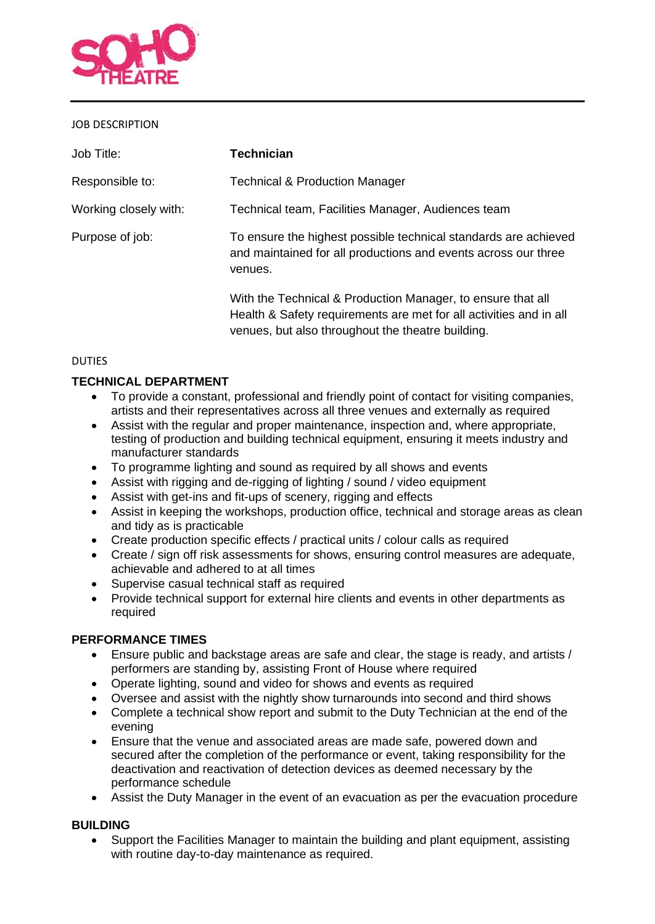

#### JOB DESCRIPTION

| Job Title:            | <b>Technician</b>                                                                                                                                                                      |
|-----------------------|----------------------------------------------------------------------------------------------------------------------------------------------------------------------------------------|
| Responsible to:       | <b>Technical &amp; Production Manager</b>                                                                                                                                              |
| Working closely with: | Technical team, Facilities Manager, Audiences team                                                                                                                                     |
| Purpose of job:       | To ensure the highest possible technical standards are achieved<br>and maintained for all productions and events across our three<br>venues.                                           |
|                       | With the Technical & Production Manager, to ensure that all<br>Health & Safety requirements are met for all activities and in all<br>venues, but also throughout the theatre building. |

#### **DUTIES**

## **TECHNICAL DEPARTMENT**

- To provide a constant, professional and friendly point of contact for visiting companies, artists and their representatives across all three venues and externally as required
- Assist with the regular and proper maintenance, inspection and, where appropriate, testing of production and building technical equipment, ensuring it meets industry and manufacturer standards
- To programme lighting and sound as required by all shows and events
- Assist with rigging and de-rigging of lighting / sound / video equipment
- Assist with get-ins and fit-ups of scenery, rigging and effects
- Assist in keeping the workshops, production office, technical and storage areas as clean and tidy as is practicable
- Create production specific effects / practical units / colour calls as required
- Create / sign off risk assessments for shows, ensuring control measures are adequate, achievable and adhered to at all times
- Supervise casual technical staff as required
- Provide technical support for external hire clients and events in other departments as required

#### **PERFORMANCE TIMES**

- Ensure public and backstage areas are safe and clear, the stage is ready, and artists / performers are standing by, assisting Front of House where required
- Operate lighting, sound and video for shows and events as required
- Oversee and assist with the nightly show turnarounds into second and third shows
- Complete a technical show report and submit to the Duty Technician at the end of the evening
- Ensure that the venue and associated areas are made safe, powered down and secured after the completion of the performance or event, taking responsibility for the deactivation and reactivation of detection devices as deemed necessary by the performance schedule
- Assist the Duty Manager in the event of an evacuation as per the evacuation procedure

#### **BUILDING**

• Support the Facilities Manager to maintain the building and plant equipment, assisting with routine day-to-day maintenance as required.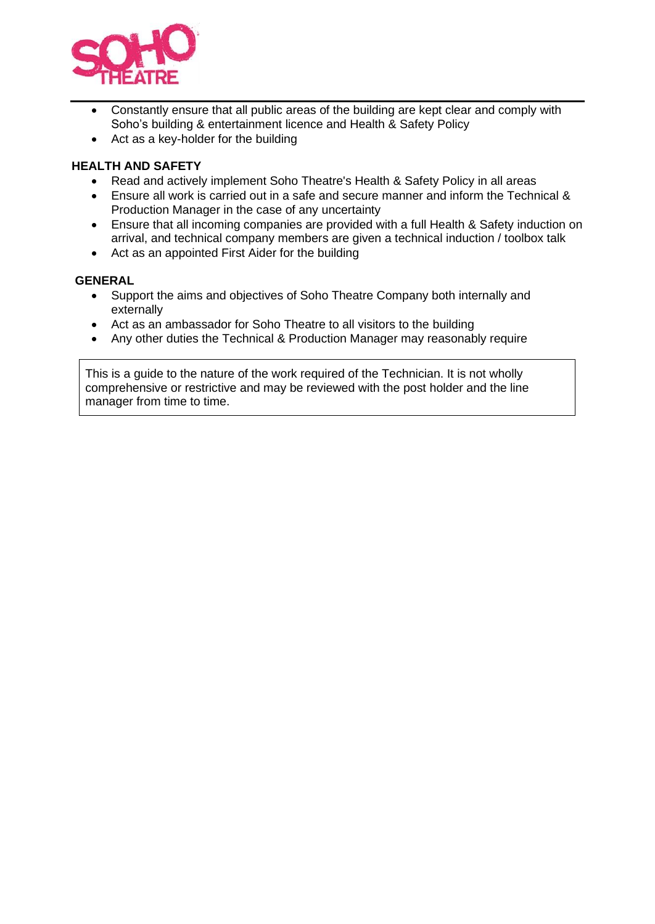

- Constantly ensure that all public areas of the building are kept clear and comply with Soho's building & entertainment licence and Health & Safety Policy
- Act as a key-holder for the building

## **HEALTH AND SAFETY**

- Read and actively implement Soho Theatre's Health & Safety Policy in all areas
- Ensure all work is carried out in a safe and secure manner and inform the Technical & Production Manager in the case of any uncertainty
- Ensure that all incoming companies are provided with a full Health & Safety induction on arrival, and technical company members are given a technical induction / toolbox talk
- Act as an appointed First Aider for the building

#### **GENERAL**

- Support the aims and objectives of Soho Theatre Company both internally and externally
- Act as an ambassador for Soho Theatre to all visitors to the building
- Any other duties the Technical & Production Manager may reasonably require

This is a guide to the nature of the work required of the Technician. It is not wholly comprehensive or restrictive and may be reviewed with the post holder and the line manager from time to time.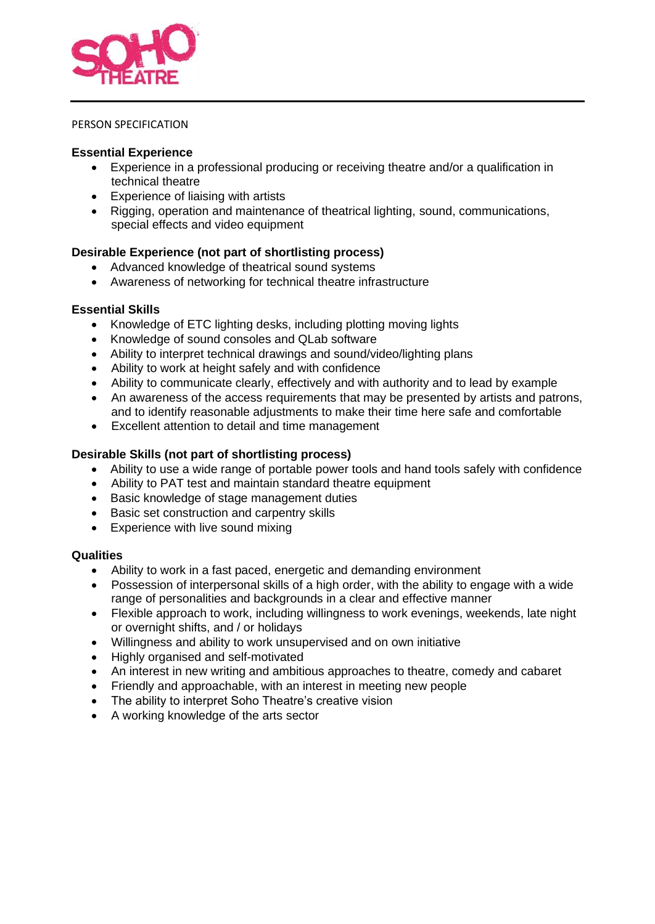

#### PERSON SPECIFICATION

#### **Essential Experience**

- Experience in a professional producing or receiving theatre and/or a qualification in technical theatre
- Experience of liaising with artists
- Rigging, operation and maintenance of theatrical lighting, sound, communications, special effects and video equipment

## **Desirable Experience (not part of shortlisting process)**

- Advanced knowledge of theatrical sound systems
- Awareness of networking for technical theatre infrastructure

#### **Essential Skills**

- Knowledge of ETC lighting desks, including plotting moving lights
- Knowledge of sound consoles and QLab software
- Ability to interpret technical drawings and sound/video/lighting plans
- Ability to work at height safely and with confidence
- Ability to communicate clearly, effectively and with authority and to lead by example
- An awareness of the access requirements that may be presented by artists and patrons, and to identify reasonable adjustments to make their time here safe and comfortable
- Excellent attention to detail and time management

## **Desirable Skills (not part of shortlisting process)**

- Ability to use a wide range of portable power tools and hand tools safely with confidence
- Ability to PAT test and maintain standard theatre equipment
- Basic knowledge of stage management duties
- Basic set construction and carpentry skills
- Experience with live sound mixing

#### **Qualities**

- Ability to work in a fast paced, energetic and demanding environment
- Possession of interpersonal skills of a high order, with the ability to engage with a wide range of personalities and backgrounds in a clear and effective manner
- Flexible approach to work, including willingness to work evenings, weekends, late night or overnight shifts, and / or holidays
- Willingness and ability to work unsupervised and on own initiative
- Highly organised and self-motivated
- An interest in new writing and ambitious approaches to theatre, comedy and cabaret
- Friendly and approachable, with an interest in meeting new people
- The ability to interpret Soho Theatre's creative vision
- A working knowledge of the arts sector